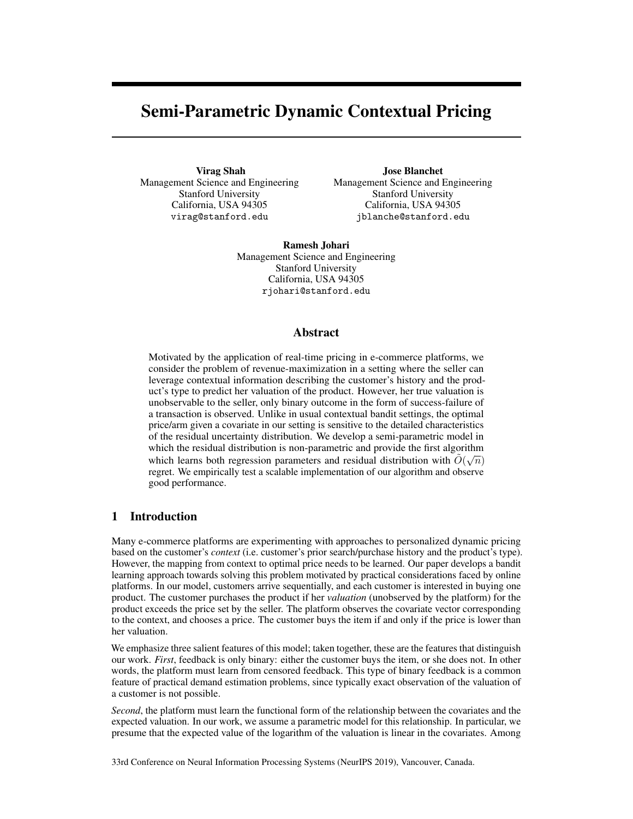# Semi-Parametric Dynamic Contextual Pricing

<span id="page-0-0"></span>Virag Shah Management Science and Engineering Stanford University California, USA 94305 virag@stanford.edu

Jose Blanchet Management Science and Engineering Stanford University California, USA 94305 jblanche@stanford.edu

Ramesh Johari Management Science and Engineering Stanford University California, USA 94305 rjohari@stanford.edu

### <span id="page-0-4"></span>Abstract

Motivated by the application of real-time pricing in e-commerce platforms, we consider the problem of revenue-maximization in a setting where the seller can leverage contextual information describing the customer's history and the product's type to predict her valuation of the product. However, her true valuation is unobservable to the seller, only binary outcome in the form of success-failure of a transaction is observed. Unlike in usual contextual bandit settings, the optimal price/arm given a covariate in our setting is sensitive to the detailed characteristics of the residual uncertainty distribution. We develop a semi-parametric model in which the residual distribution is non-parametric and provide the first algorithm which learns both regression parameters and residual distribution with  $\tilde{O}(\sqrt{n})$ regret. We empirically test a scalable implementation of our algorithm and observe good performance.

# <span id="page-0-2"></span><span id="page-0-1"></span>1 Introduction

Many e-commerce platforms are experimenting with approaches to personalized dynamic pricing based on the customer's *context* (i.e. customer's prior search/purchase history and the product's type). However, the mapping from context to optimal price needs to be learned. Our paper develops a bandit learning approach towards solving this problem motivated by practical considerations faced by online platforms. In our model, customers arrive sequentially, and each customer is interested in buying one product. The customer purchases the product if her *valuation* (unobserved by the platform) for the product exceeds the price set by the seller. The platform observes the covariate vector corresponding to the context, and chooses a price. The customer buys the item if and only if the price is lower than her valuation.

<span id="page-0-3"></span>We emphasize three salient features of this model; taken together, these are the features that distinguish our work. *First*, feedback is only binary: either the customer buys the item, or she does not. In other words, the platform must learn from censored feedback. This type of binary feedback is a common feature of practical demand estimation problems, since typically exact observation of the valuation of a customer is not possible.

*Second*, the platform must learn the functional form of the relationship between the covariates and the expected valuation. In our work, we assume a parametric model for this relationship. In particular, we presume that the expected value of the logarithm of the valuation is linear in the covariates. Among

33rd Conference on Neural Information Processing Systems (NeurIPS 2019), Vancouver, Canada.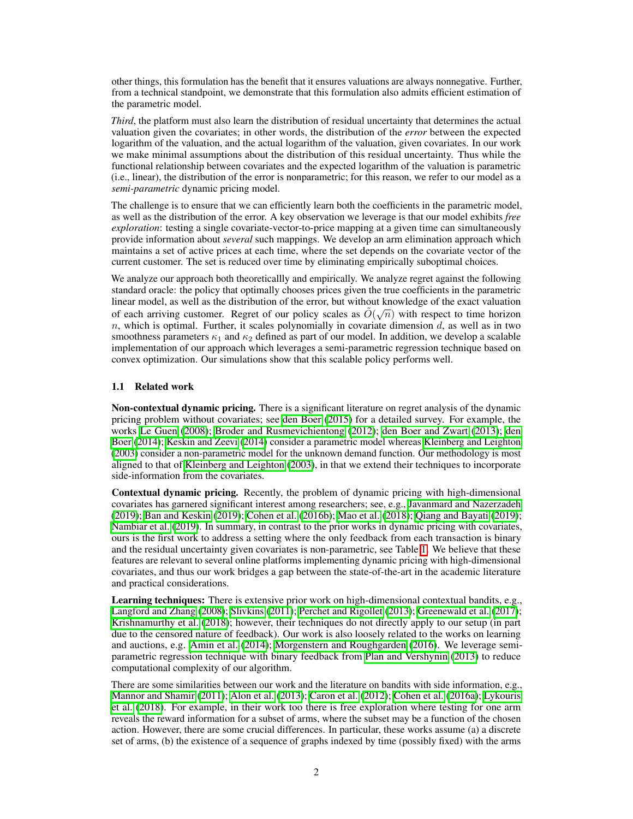other things, this formulation has the benefit that it ensures valuations are always nonnegative. Further, from a technical standpoint, we demonstrate that this formulation also admits efficient estimation of the parametric model.

*Third*, the platform must also learn the distribution of residual uncertainty that determines the actual valuation given the covariates; in other words, the distribution of the *error* between the expected logarithm of the valuation, and the actual logarithm of the valuation, given covariates. In our work we make minimal assumptions about the distribution of this residual uncertainty. Thus while the functional relationship between covariates and the expected logarithm of the valuation is parametric (i.e., linear), the distribution of the error is nonparametric; for this reason, we refer to our model as a *semi-parametric* dynamic pricing model.

The challenge is to ensure that we can efficiently learn both the coefficients in the parametric model, as well as the distribution of the error. A key observation we leverage is that our model exhibits *free exploration*: testing a single covariate-vector-to-price mapping at a given time can simultaneously provide information about *several* such mappings. We develop an arm elimination approach which maintains a set of active prices at each time, where the set depends on the covariate vector of the current customer. The set is reduced over time by eliminating empirically suboptimal choices.

We analyze our approach both theoreticallly and empirically. We analyze regret against the following standard oracle: the policy that optimally chooses prices given the true coefficients in the parametric linear model, as well as the distribution of the error, but without knowledge of the exact valuation of each arriving customer. Regret of our policy scales as  $\tilde{O}(\sqrt{n})$  with respect to time horizon *n*, which is optimal. Further, it scales polynomially in covariate dimension *d*, as well as in two smoothness parameters  $\kappa_1$  and  $\kappa_2$  defined as part of our model. In addition, we develop a scalable implementation of our approach which leverages a semi-parametric regression technique based on convex optimization. Our simulations show that this scalable policy performs well.

# 1.1 Related work

Non-contextual dynamic pricing. There is a significant literature on regret analysis of the dynamic pricing problem without covariates; see [den Boer](#page-9-0)  $(2015)$  for a detailed survey. For example, the works [Le Guen](#page-9-1) [\(2008\)](#page-9-1); [Broder and Rusmevichientong](#page-9-2) [\(2012\)](#page-9-2); [den Boer and Zwart](#page-9-3) [\(2013\)](#page-9-3); [den](#page-9-4) [Boer](#page-9-4) [\(2014\)](#page-9-4); [Keskin and Zeevi](#page-9-5) [\(2014\)](#page-9-5) consider a parametric model whereas [Kleinberg and Leighton](#page-9-6) [\(2003\)](#page-9-6) consider a non-parametric model for the unknown demand function. Our methodology is most aligned to that of [Kleinberg and Leighton](#page-9-6)  $(2003)$ , in that we extend their techniques to incorporate side-information from the covariates.

Contextual dynamic pricing. Recently, the problem of dynamic pricing with high-dimensional covariates has garnered significant interest among researchers; see, e.g., [Javanmard and Nazerzadeh](#page-9-7) [\(2019\)](#page-9-7); [Ban and Keskin](#page-8-0) [\(2019\)](#page-8-0); [Cohen et al.](#page-9-8) [\(2016b\)](#page-9-8); [Mao et al.](#page-9-9) [\(2018\)](#page-9-9); [Qiang and Bayati](#page-10-0) [\(2019\)](#page-10-0); [Nambiar et al.](#page-9-10) [\(2019\)](#page-9-10). In summary, in contrast to the prior works in dynamic pricing with covariates, ours is the first work to address a setting where the only feedback from each transaction is binary and the residual uncertainty given covariates is non-parametric, see Table  $\overline{I}$ . We believe that these features are relevant to several online platforms implementing dynamic pricing with high-dimensional covariates, and thus our work bridges a gap between the state-of-the-art in the academic literature and practical considerations.

Learning techniques: There is extensive prior work on high-dimensional contextual bandits, e.g., [Langford and Zhang](#page-9-11) [\(2008\)](#page-9-11); [Slivkins](#page-10-1) [\(2011\)](#page-10-1); [Perchet and Rigollet](#page-9-12) [\(2013\)](#page-9-12); [Greenewald et al.](#page-9-13) [\(2017\)](#page-9-13); [Krishnamurthy et al.](#page-9-14)  $(2018)$ ; however, their techniques do not directly apply to our setup (in part due to the censored nature of feedback). Our work is also loosely related to the works on learning and auctions, e.g. [Amin et al.](#page-8-1)  $(2014)$ ; [Morgenstern and Roughgarden](#page-9-15)  $(2016)$ . We leverage semi-parametric regression technique with binary feedback from [Plan and Vershynin](#page-10-2) [\(2013\)](#page-10-2) to reduce computational complexity of our algorithm.

There are some similarities between our work and the literature on bandits with side information, e.g., [Mannor and Shamir](#page-9-16) [\(2011\)](#page-9-16); [Alon et al.](#page-8-2) [\(2013\)](#page-8-2); [Caron et al.](#page-9-17) [\(2012\)](#page-9-17); [Cohen et al.](#page-9-18) [\(2016a\)](#page-9-18); [Lykouris](#page-9-19) [et al.](#page-9-19) [\(2018\)](#page-9-19). For example, in their work too there is free exploration where testing for one arm reveals the reward information for a subset of arms, where the subset may be a function of the chosen action. However, there are some crucial differences. In particular, these works assume (a) a discrete set of arms, (b) the existence of a sequence of graphs indexed by time (possibly fixed) with the arms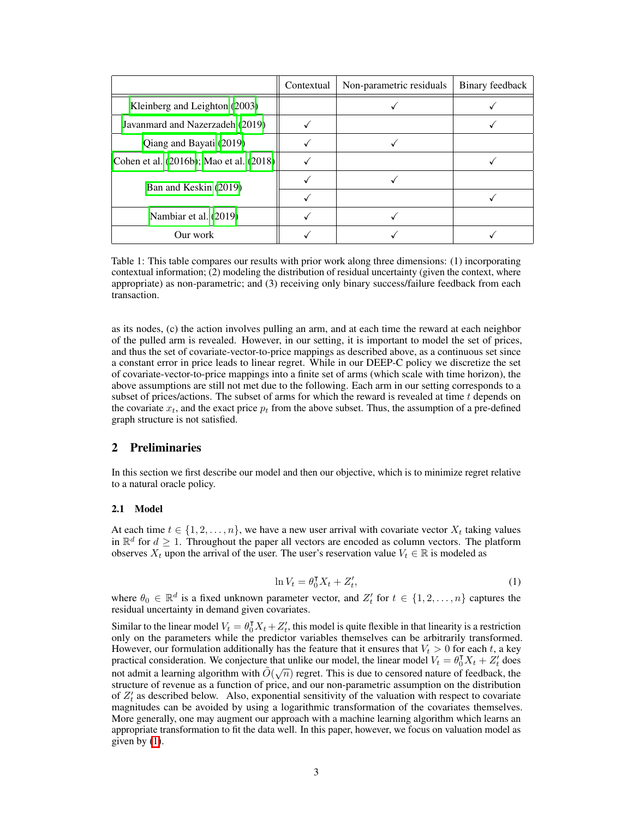<span id="page-2-0"></span>

|                                              | Contextual | Non-parametric residuals | Binary feedback |
|----------------------------------------------|------------|--------------------------|-----------------|
| Kleinberg and Leighton (2003)                |            |                          |                 |
| Javanmard and Nazerzadeh (2019)              |            |                          |                 |
| Qiang and Bayati (2019)                      |            |                          |                 |
| Cohen et al. $(2016b)$ ; Mao et al. $(2018)$ |            |                          |                 |
| Ban and Keskin (2019)                        |            |                          |                 |
|                                              |            |                          |                 |
| Nambiar et al. $(2019)$                      |            |                          |                 |
| Our work                                     |            |                          |                 |

Table 1: This table compares our results with prior work along three dimensions: (1) incorporating contextual information; (2) modeling the distribution of residual uncertainty (given the context, where appropriate) as non-parametric; and (3) receiving only binary success/failure feedback from each transaction.

as its nodes, (c) the action involves pulling an arm, and at each time the reward at each neighbor of the pulled arm is revealed. However, in our setting, it is important to model the set of prices, and thus the set of covariate-vector-to-price mappings as described above, as a continuous set since a constant error in price leads to linear regret. While in our DEEP-C policy we discretize the set of covariate-vector-to-price mappings into a finite set of arms (which scale with time horizon), the above assumptions are still not met due to the following. Each arm in our setting corresponds to a subset of prices/actions. The subset of arms for which the reward is revealed at time *t* depends on the covariate  $x_t$ , and the exact price  $p_t$  from the above subset. Thus, the assumption of a pre-defined graph structure is not satisfied.

# 2 Preliminaries

In this section we first describe our model and then our objective, which is to minimize regret relative to a natural oracle policy.

#### 2.1 Model

At each time  $t \in \{1, 2, \ldots, n\}$ , we have a new user arrival with covariate vector  $X_t$  taking values in  $\mathbb{R}^d$  for  $d \geq 1$ . Throughout the paper all vectors are encoded as column vectors. The platform observes  $X_t$  upon the arrival of the user. The user's reservation value  $V_t \in \mathbb{R}$  is modeled as

$$
\ln V_t = \theta_0^{\mathsf{T}} X_t + Z'_t,\tag{1}
$$

<span id="page-2-1"></span>where  $\theta_0 \in \mathbb{R}^d$  is a fixed unknown parameter vector, and  $Z'_t$  for  $t \in \{1, 2, ..., n\}$  captures the residual uncertainty in demand given covariates.

Similar to the linear model  $V_t = \theta_0^{\mathsf{T}} X_t + Z'_t$ , this model is quite flexible in that linearity is a restriction only on the parameters while the predictor variables themselves can be arbitrarily transformed. However, our formulation additionally has the feature that it ensures that  $V_t > 0$  for each *t*, a key practical consideration. We conjecture that unlike our model, the linear model  $V_t = \theta_0^{\mathsf{T}} X_t + Z_t^{\prime}$  does not admit a learning algorithm with  $\tilde{O}(\sqrt{n})$  regret. This is due to censored nature of feedback, the structure of revenue as a function of price, and our non-parametric assumption on the distribution of  $Z_t$ <sup>*t*</sup> as described below. Also, exponential sensitivity of the valuation with respect to covariate magnitudes can be avoided by using a logarithmic transformation of the covariates themselves. More generally, one may augment our approach with a machine learning algorithm which learns an appropriate transformation to fit the data well. In this paper, however, we focus on valuation model as given by  $(I)$ .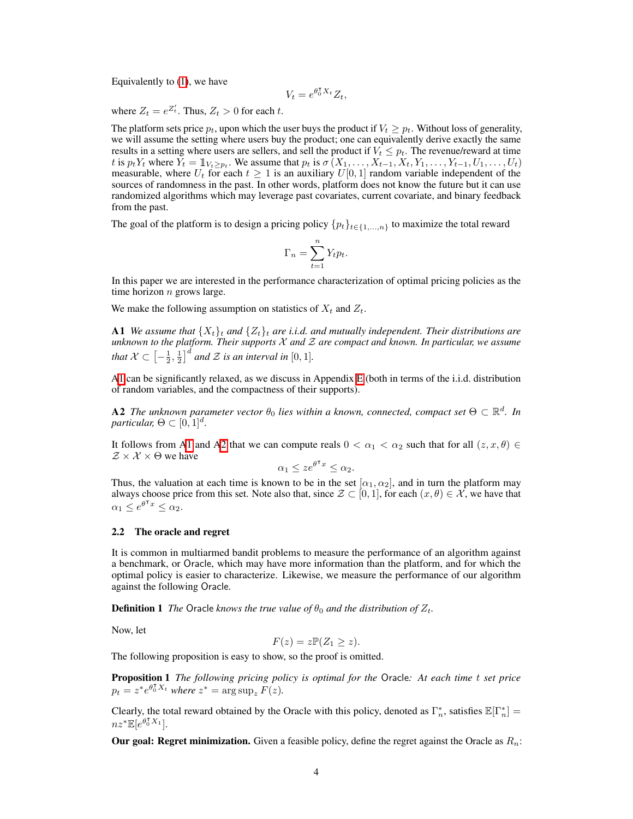Equivalently to  $(1)$ , we have

$$
V_t = e^{\theta_0^{\mathsf{T}} X_t} Z_t,
$$

where  $Z_t = e^{Z'_t}$ . Thus,  $Z_t > 0$  for each *t*.

The platform sets price  $p_t$ , upon which the user buys the product if  $V_t \geq p_t$ . Without loss of generality, we will assume the setting where users buy the product; one can equivalently derive exactly the same results in a setting where users are sellers, and sell the product if  $V_t \leq p_t$ . The revenue/reward at time t is  $p_t Y_t$  where  $Y_t = \mathbb{1}_{V_t \geq p_t}$ . We assume that  $p_t$  is  $\sigma(X_1, \ldots, X_{t-1}, X_t, Y_1, \ldots, Y_{t-1}, U_1, \ldots, U_t)$ measurable, where  $U_t$  for each  $t \geq 1$  is an auxiliary  $U[0, 1]$  random variable independent of the sources of randomness in the past. In other words, platform does not know the future but it can use randomized algorithms which may leverage past covariates, current covariate, and binary feedback from the past.

The goal of the platform is to design a pricing policy  ${p_t}_{t \in \{1,...,n\}}$  to maximize the total reward

$$
\Gamma_n = \sum_{t=1}^n Y_t p_t.
$$

In this paper we are interested in the performance characterization of optimal pricing policies as the time horizon *n* grows large.

<span id="page-3-0"></span>We make the following assumption on statistics of  $X_t$  and  $Z_t$ .

A1 *We assume that*  $\{X_t\}_t$  and  $\{Z_t\}_t$  are *i.i.d.* and mutually independent. Their distributions are *unknown to the platform. Their supports X and Z are compact and known. In particular, we assume that*  $X \subset \left[-\frac{1}{2}, \frac{1}{2}\right]^d$  *and*  $\mathcal Z$  *is an interval in*  $[0, 1]$ *.* 

 $\text{AT}$  can be significantly relaxed, as we discuss in Appendix  $\text{E}$  (both in terms of the i.i.d. distribution of random variables, and the compactness of their supports).

<span id="page-3-1"></span>**A2** The unknown parameter vector  $\theta_0$  lies within a known, connected, compact set  $\Theta \subset \mathbb{R}^d$ . In *particular,*  $\Theta \subset [0, 1]^d$ .

It follows from A<sup> $\overline{1}$ </sup> and A<sup> $\overline{2}$ </sup> that we can compute reals  $0 < \alpha_1 < \alpha_2$  such that for all  $(z, x, \theta) \in$  $Z \times X \times \Theta$  we have

$$
\alpha_1 \le z e^{\theta^\intercal x} \le \alpha_2.
$$

Thus, the valuation at each time is known to be in the set  $[\alpha_1, \alpha_2]$ , and in turn the platform may always choose price from this set. Note also that, since  $\mathcal{Z} \subset [0,1]$ , for each  $(x,\theta) \in \mathcal{X}$ , we have that  $\alpha_1 \leq e^{\theta^{\intercal} x} \leq \alpha_2.$ 

#### 2.2 The oracle and regret

It is common in multiarmed bandit problems to measure the performance of an algorithm against a benchmark, or Oracle, which may have more information than the platform, and for which the optimal policy is easier to characterize. Likewise, we measure the performance of our algorithm against the following Oracle.

**Definition 1** *The* Oracle *knows the true value of*  $\theta_0$  *and the distribution of*  $Z_t$ *.* 

Now, let

<span id="page-3-2"></span>
$$
F(z) = z \mathbb{P}(Z_1 \geq z).
$$

The following proposition is easy to show, so the proof is omitted.

Proposition 1 *The following pricing policy is optimal for the* Oracle*: At each time t set price*  $p_t = z^* e^{\theta_0^{\mathsf{T}} X_t}$  *where*  $z^* = \arg \sup_z F(z)$ *.* 

Clearly, the total reward obtained by the Oracle with this policy, denoted as  $\Gamma_n^*$ , satisfies  $\mathbb{E}[\Gamma_n^*]=$  $nz^* \mathbb{E}[e^{\theta_0^{\intercal} X_1}].$ 

Our goal: Regret minimization. Given a feasible policy, define the regret against the Oracle as *Rn*: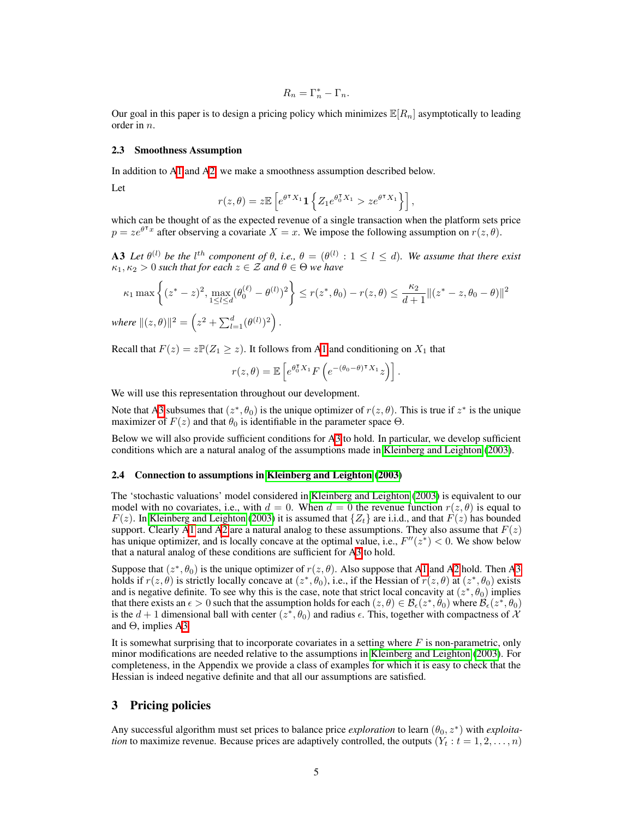$$
R_n = \Gamma_n^* - \Gamma_n.
$$

Our goal in this paper is to design a pricing policy which minimizes  $\mathbb{E}[R_n]$  asymptotically to leading order in *n*.

#### 2.3 Smoothness Assumption

In addition to  $A<sup>T</sup>$  and  $A<sup>T</sup>$ , we make a smoothness assumption described below.

Let

$$
r(z,\theta) = z \mathbb{E}\left[e^{\theta^\mathsf{T} X_1} \mathbf{1}\left\{Z_1 e^{\theta_0^\mathsf{T} X_1} > z e^{\theta^\mathsf{T} X_1}\right\}\right],
$$

which can be thought of as the expected revenue of a single transaction when the platform sets price  $p = ze^{\theta^T x}$  after observing a covariate  $X = x$ . We impose the following assumption on  $r(z, \theta)$ .

<span id="page-4-0"></span>A3 Let  $\theta^{(l)}$  be the  $l^{th}$  component of  $\theta$ , i.e.,  $\theta = (\theta^{(l)} : 1 \leq l \leq d)$ . We assume that there exist  $\kappa_1, \kappa_2 > 0$  *such that for each*  $z \in \mathcal{Z}$  *and*  $\theta \in \Theta$  *we have* 

$$
\kappa_1 \max \left\{ (z^* - z)^2, \max_{1 \le l \le d} (\theta_0^{(\ell)} - \theta^{(l)})^2 \right\} \le r(z^*, \theta_0) - r(z, \theta) \le \frac{\kappa_2}{d+1} ||(z^* - z, \theta_0 - \theta)||^2
$$

*where*  $||(z, \theta)||^2 = \left(z^2 + \sum_{l=1}^d (\theta^{(l)})^2\right)$ .

Recall that  $F(z) = z \mathbb{P}(Z_1 \geq z)$ . It follows from A<sub>1</sub> and conditioning on  $X_1$  that

$$
r(z,\theta) = \mathbb{E}\left[e^{\theta_0^{\intercal}X_1}F\left(e^{-(\theta_0-\theta)^{\intercal}X_1}z\right)\right].
$$

We will use this representation throughout our development.

Note that  $\overline{AB}$  subsumes that  $(z^*, \theta_0)$  is the unique optimizer of  $r(z, \theta)$ . This is true if  $z^*$  is the unique maximizer of  $F(z)$  and that  $\theta_0$  is identifiable in the parameter space  $\Theta$ .

Below we will also provide sufficient conditions for  $\overline{AB}$  to hold. In particular, we develop sufficient conditions which are a natural analog of the assumptions made in [Kleinberg and Leighton](#page-9-6) [\(2003\)](#page-9-6).

#### 2.4 Connection to assumptions in [Kleinberg and Leighton](#page-9-6) [\(2003\)](#page-9-6)

The 'stochastic valuations' model considered in **Kleinberg and Leighton** [\(2003\)](#page-9-6) is equivalent to our model with no covariates, i.e., with  $d = 0$ . When  $d = 0$  the revenue function  $r(z, \theta)$  is equal to *F*(*z*). In [Kleinberg and Leighton](#page-9-6) [\(2003\)](#page-9-6) it is assumed that  $\{Z_t\}$  are i.i.d., and that  $F(z)$  has bounded support. Clearly A<sub>1</sub> and A<sub>2</sub> are a natural analog to these assumptions. They also assume that  $F(z)$ has unique optimizer, and is locally concave at the optimal value, i.e.,  $F''(z^*) < 0$ . We show below that a natural analog of these conditions are sufficient for  $\mathbf{A}3$  to hold.

Suppose that  $(z^*, \theta_0)$  is the unique optimizer of  $r(z, \theta)$ . Also suppose that A<sub>1</sub> and A<sub>2</sub> hold. Then A<sub>3</sub> holds if  $r(z, \theta)$  is strictly locally concave at  $(z^*, \theta_0)$ , i.e., if the Hessian of  $\overline{r}(z, \theta)$  at  $(z^*, \theta_0)$  exists and is negative definite. To see why this is the case, note that strict local concavity at  $(z^*, \theta_0)$  implies that there exists an  $\epsilon > 0$  such that the assumption holds for each  $(z, \theta) \in \mathcal{B}_{\epsilon}(z^*, \theta_0)$  where  $\mathcal{B}_{\epsilon}(z^*, \theta_0)$ is the  $d+1$  dimensional ball with center  $(z^*, \theta_0)$  and radius  $\epsilon$ . This, together with compactness of X and  $\Theta$ , implies A $\overline{3}$ .

It is somewhat surprising that to incorporate covariates in a setting where *F* is non-parametric, only minor modifications are needed relative to the assumptions in [Kleinberg and Leighton](#page-9-6)  $(2003)$ . For completeness, in the Appendix we provide a class of examples for which it is easy to check that the Hessian is indeed negative definite and that all our assumptions are satisfied.

# 3 Pricing policies

Any successful algorithm must set prices to balance price *exploration* to learn  $(\theta_0, z^*)$  with *exploitation* to maximize revenue. Because prices are adaptively controlled, the outputs  $(Y_t : t = 1, 2, \ldots, n)$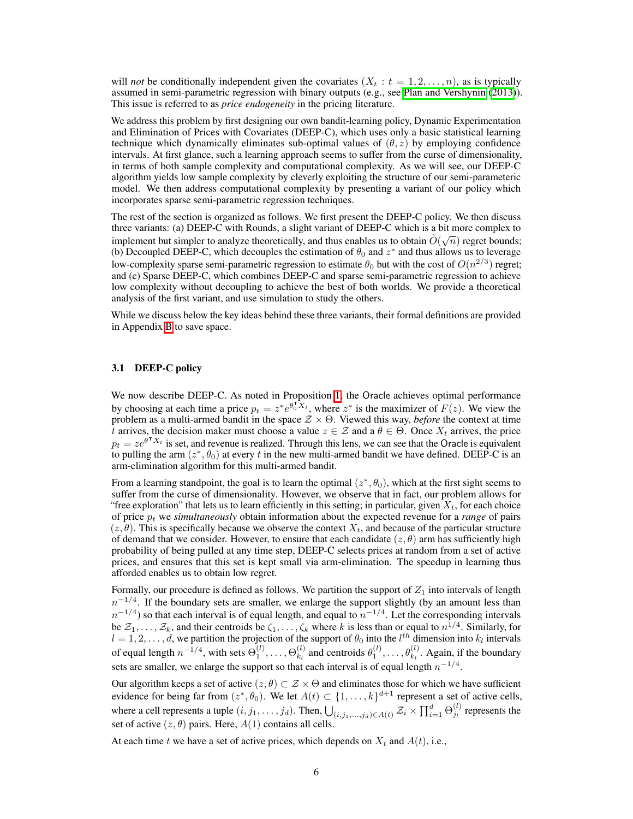will *not* be conditionally independent given the covariates  $(X_t : t = 1, 2, \ldots, n)$ , as is typically assumed in semi-parametric regression with binary outputs (e.g., see  $\overline{Plan}$  and Vershynin [\(2013\)](#page-10-2)). This issue is referred to as *price endogeneity* in the pricing literature.

We address this problem by first designing our own bandit-learning policy, Dynamic Experimentation and Elimination of Prices with Covariates (DEEP-C), which uses only a basic statistical learning technique which dynamically eliminates sub-optimal values of  $(\theta, z)$  by employing confidence intervals. At first glance, such a learning approach seems to suffer from the curse of dimensionality, in terms of both sample complexity and computational complexity. As we will see, our DEEP-C algorithm yields low sample complexity by cleverly exploiting the structure of our semi-parameteric model. We then address computational complexity by presenting a variant of our policy which incorporates sparse semi-parametric regression techniques.

The rest of the section is organized as follows. We first present the DEEP-C policy. We then discuss three variants: (a) DEEP-C with Rounds, a slight variant of DEEP-C which is a bit more complex to implement but simpler to analyze theoretically, and thus enables us to obtain  $\tilde{O}(\sqrt{n})$  regret bounds; (b) Decoupled DEEP-C, which decouples the estimation of  $\theta_0$  and  $z^*$  and thus allows us to leverage low-complexity sparse semi-parametric regression to estimate  $\theta_0$  but with the cost of  $O(n^{2/3})$  regret; and (c) Sparse DEEP-C, which combines DEEP-C and sparse semi-parametric regression to achieve low complexity without decoupling to achieve the best of both worlds. We provide a theoretical analysis of the first variant, and use simulation to study the others.

While we discuss below the key ideas behind these three variants, their formal definitions are provided in Appendix  $\overline{B}$  to save space.

#### 3.1 DEEP-C policy

We now describe DEEP-C. As noted in Proposition  $\boxed{1}$ , the Oracle achieves optimal performance by choosing at each time a price  $p_t = z^* e^{\theta_0^T X_t}$ , where  $z^*$  is the maximizer of  $F(z)$ . We view the problem as a multi-armed bandit in the space  $\mathcal{Z} \times \Theta$ . Viewed this way, *before* the context at time *t* arrives, the decision maker must choose a value  $z \in \mathcal{Z}$  and a  $\theta \in \Theta$ . Once  $X_t$  arrives, the price  $p_t = ze^{\theta^T X_t}$  is set, and revenue is realized. Through this lens, we can see that the Oracle is equivalent to pulling the arm  $(z^*, \theta_0)$  at every *t* in the new multi-armed bandit we have defined. DEEP-C is an arm-elimination algorithm for this multi-armed bandit.

From a learning standpoint, the goal is to learn the optimal  $(z^*, \theta_0)$ , which at the first sight seems to suffer from the curse of dimensionality. However, we observe that in fact, our problem allows for "free exploration" that lets us to learn efficiently in this setting; in particular, given  $X_t$ , for each choice of price *p<sup>t</sup>* we *simultaneously* obtain information about the expected revenue for a *range* of pairs  $(z, \theta)$ . This is specifically because we observe the context  $X_t$ , and because of the particular structure of demand that we consider. However, to ensure that each candidate  $(z, \theta)$  arm has sufficiently high probability of being pulled at any time step, DEEP-C selects prices at random from a set of active prices, and ensures that this set is kept small via arm-elimination. The speedup in learning thus afforded enables us to obtain low regret.

Formally, our procedure is defined as follows. We partition the support of  $Z_1$  into intervals of length  $n^{-1/4}$ . If the boundary sets are smaller, we enlarge the support slightly (by an amount less than  $n^{-1/4}$ ) so that each interval is of equal length, and equal to  $n^{-1/4}$ . Let the corresponding intervals be  $\mathcal{Z}_1, \ldots, \mathcal{Z}_k$ , and their centroids be  $\zeta_1, \ldots, \zeta_k$  where *k* is less than or equal to  $n^{1/4}$ . Similarly, for  $l = 1, 2, \ldots, d$ , we partition the projection of the support of  $\theta_0$  into the  $l^{th}$  dimension into  $k_l$  intervals of equal length  $n^{-1/4}$ , with sets  $\Theta_1^{(l)}, \ldots, \Theta_{k_l}^{(l)}$  and centroids  $\theta_1^{(l)}, \ldots, \theta_{k_l}^{(l)}$ . Again, if the boundary sets are smaller, we enlarge the support so that each interval is of equal length  $n^{-1/4}$ .

Our algorithm keeps a set of active  $(z, \theta) \subset \mathcal{Z} \times \Theta$  and eliminates those for which we have sufficient evidence for being far from  $(z^*, \theta_0)$ . We let  $A(t) \subset \{1, \ldots, k\}^{d+1}$  represent a set of active cells, where a cell represents a tuple  $(i, j_1, \ldots, j_d)$ . Then,  $\bigcup_{(i, j_1, \ldots, j_d) \in A(t)} \mathcal{Z}_i \times \prod_{i=1}^d \Theta_{j_i}^{(l)}$  represents the set of active  $(z, \theta)$  pairs. Here,  $A(1)$  contains all cells.

At each time *t* we have a set of active prices, which depends on  $X_t$  and  $A(t)$ , i.e.,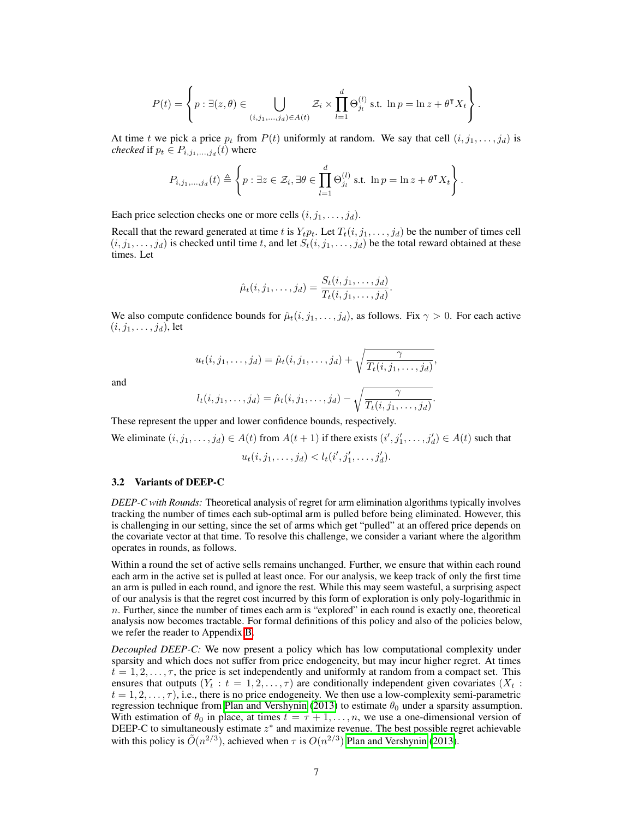$$
P(t) = \left\{ p : \exists (z, \theta) \in \bigcup_{(i, j_1, \dots, j_d) \in A(t)} \mathcal{Z}_i \times \prod_{l=1}^d \Theta_{j_l}^{(l)} \text{ s.t. } \ln p = \ln z + \theta^{\intercal} X_t \right\}.
$$

At time *t* we pick a price  $p_t$  from  $P(t)$  uniformly at random. We say that cell  $(i, j_1, \ldots, j_d)$  is *checked* if  $p_t \in P_{i,j_1,...,j_d}(t)$  where

$$
P_{i,j_1,\dots,j_d}(t) \triangleq \left\{ p : \exists z \in \mathcal{Z}_i, \exists \theta \in \prod_{l=1}^d \Theta_{j_l}^{(l)} \text{ s.t. } \ln p = \ln z + \theta^{\intercal} X_t \right\}.
$$

Each price selection checks one or more cells  $(i, j_1, \ldots, j_d)$ .

Recall that the reward generated at time *t* is  $Y_t p_t$ . Let  $T_t(i, j_1, \ldots, j_d)$  be the number of times cell  $(i, j_1, \ldots, j_d)$  is checked until time *t*, and let  $S_t(i, j_1, \ldots, j_d)$  be the total reward obtained at these times. Let

$$
\hat{\mu}_t(i,j_1,\ldots,j_d) = \frac{S_t(i,j_1,\ldots,j_d)}{T_t(i,j_1,\ldots,j_d)}.
$$

We also compute confidence bounds for  $\hat{\mu}_t(i, j_1, \ldots, j_d)$ , as follows. Fix  $\gamma > 0$ . For each active  $(i, j_1, \ldots, j_d)$ , let

$$
u_t(i,j_1,\ldots,j_d)=\hat{\mu}_t(i,j_1,\ldots,j_d)+\sqrt{\frac{\gamma}{T_t(i,j_1,\ldots,j_d)}},
$$

and

$$
l_t(i,j_1,\ldots,j_d)=\hat{\mu}_t(i,j_1,\ldots,j_d)-\sqrt{\frac{\gamma}{T_t(i,j_1,\ldots,j_d)}}.
$$

These represent the upper and lower confidence bounds, respectively.

We eliminate  $(i, j_1, \ldots, j_d) \in A(t)$  from  $A(t + 1)$  if there exists  $(i', j'_1, \ldots, j'_d) \in A(t)$  such that

$$
u_t(i, j_1, \ldots, j_d) < l_t(i', j'_1, \ldots, j'_d).
$$

#### <span id="page-6-0"></span>3.2 Variants of DEEP-C

*DEEP-C with Rounds:* Theoretical analysis of regret for arm elimination algorithms typically involves tracking the number of times each sub-optimal arm is pulled before being eliminated. However, this is challenging in our setting, since the set of arms which get "pulled" at an offered price depends on the covariate vector at that time. To resolve this challenge, we consider a variant where the algorithm operates in rounds, as follows.

Within a round the set of active sells remains unchanged. Further, we ensure that within each round each arm in the active set is pulled at least once. For our analysis, we keep track of only the first time an arm is pulled in each round, and ignore the rest. While this may seem wasteful, a surprising aspect of our analysis is that the regret cost incurred by this form of exploration is only poly-logarithmic in *n*. Further, since the number of times each arm is "explored" in each round is exactly one, theoretical analysis now becomes tractable. For formal definitions of this policy and also of the policies below, we refer the reader to Appendix [B.](#page-0-1)

*Decoupled DEEP-C:* We now present a policy which has low computational complexity under sparsity and which does not suffer from price endogeneity, but may incur higher regret. At times  $t = 1, 2, \ldots, \tau$ , the price is set independently and uniformly at random from a compact set. This ensures that outputs  $(Y_t : t = 1, 2, ..., \tau)$  are conditionally independent given covariates  $(X_t : t = 1, 2, ..., \tau)$  $t = 1, 2, \ldots, \tau$ , i.e., there is no price endogeneity. We then use a low-complexity semi-parametric regression technique from [Plan and Vershynin](#page-10-2)  $(2013)$  to estimate  $\theta_0$  under a sparsity assumption. With estimation of  $\theta_0$  in place, at times  $t = \tau + 1, \ldots, n$ , we use a one-dimensional version of DEEP-C to simultaneously estimate  $z^*$  and maximize revenue. The best possible regret achievable with this policy is  $\tilde{O}(n^{2/3})$ , achieved when  $\tau$  is  $O(n^{2/3})$  [Plan and Vershynin](#page-10-2) [\(2013\)](#page-10-2).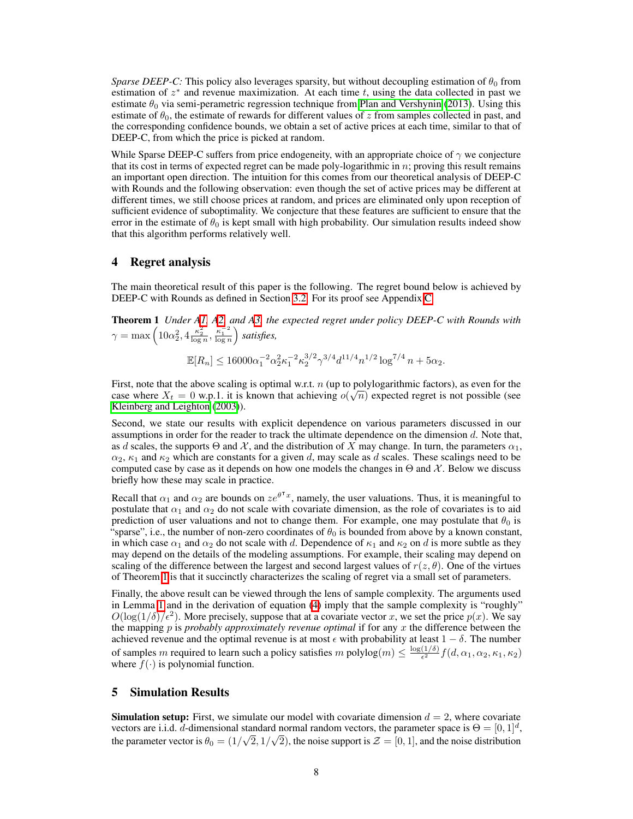*Sparse DEEP-C:* This policy also leverages sparsity, but without decoupling estimation of  $\theta_0$  from estimation of  $z^*$  and revenue maximization. At each time  $t$ , using the data collected in past we estimate  $\theta_0$  via semi-perametric regression technique from [Plan and Vershynin](#page-10-2) [\(2013\)](#page-10-2). Using this estimate of  $\theta_0$ , the estimate of rewards for different values of  $z$  from samples collected in past, and the corresponding confidence bounds, we obtain a set of active prices at each time, similar to that of DEEP-C, from which the price is picked at random.

While Sparse DEEP-C suffers from price endogeneity, with an appropriate choice of  $\gamma$  we conjecture that its cost in terms of expected regret can be made poly-logarithmic in  $n$ ; proving this result remains an important open direction. The intuition for this comes from our theoretical analysis of DEEP-C with Rounds and the following observation: even though the set of active prices may be different at different times, we still choose prices at random, and prices are eliminated only upon reception of sufficient evidence of suboptimality. We conjecture that these features are sufficient to ensure that the error in the estimate of  $\theta_0$  is kept small with high probability. Our simulation results indeed show that this algorithm performs relatively well.

# 4 Regret analysis

The main theoretical result of this paper is the following. The regret bound below is achieved by DEEP-C with Rounds as defined in Section  $3.2$ . For its proof see Appendix  $\boxed{C}$ .

<span id="page-7-0"></span>Theorem 1 *Under [A1,](#page-3-0) [A2,](#page-3-1) and [A3,](#page-4-0) the expected regret under policy DEEP-C with Rounds with*  $\gamma = \max \left( 10\alpha_2^2, 4\frac{\kappa_2^2}{\log n}, \frac{\kappa_1^{-2}}{\log n} \right)$ ⌘ *satisfies,*

$$
\mathbb{E}[R_n] \le 16000\alpha_1^{-2}\alpha_2^2\kappa_1^{-2}\kappa_2^{3/2}\gamma^{3/4}d^{11/4}n^{1/2}\log^{7/4}n + 5\alpha_2.
$$

First, note that the above scaling is optimal w.r.t. *n* (up to polylogarithmic factors), as even for the case where  $X_t = 0$  w.p.1. it is known that achieving  $o(\sqrt{n})$  expected regret is not possible (see [Kleinberg and Leighton](#page-9-6) [\(2003\)](#page-9-6)).

Second, we state our results with explicit dependence on various parameters discussed in our assumptions in order for the reader to track the ultimate dependence on the dimension *d*. Note that, as *d* scales, the supports  $\Theta$  and  $\mathcal{X}$ , and the distribution of *X* may change. In turn, the parameters  $\alpha_1$ ,  $\alpha_2$ ,  $\kappa_1$  and  $\kappa_2$  which are constants for a given *d*, may scale as *d* scales. These scalings need to be computed case by case as it depends on how one models the changes in  $\Theta$  and  $\mathcal{X}$ . Below we discuss briefly how these may scale in practice.

Recall that  $\alpha_1$  and  $\alpha_2$  are bounds on  $ze^{\theta^T x}$ , namely, the user valuations. Thus, it is meaningful to postulate that  $\alpha_1$  and  $\alpha_2$  do not scale with covariate dimension, as the role of covariates is to aid prediction of user valuations and not to change them. For example, one may postulate that  $\theta_0$  is "sparse", i.e., the number of non-zero coordinates of  $\theta_0$  is bounded from above by a known constant, in which case  $\alpha_1$  and  $\alpha_2$  do not scale with *d*. Dependence of  $\kappa_1$  and  $\kappa_2$  on *d* is more subtle as they may depend on the details of the modeling assumptions. For example, their scaling may depend on scaling of the difference between the largest and second largest values of  $r(z, \theta)$ . One of the virtues of Theorem  $\prod$  is that it succinctly characterizes the scaling of regret via a small set of parameters.

Finally, the above result can be viewed through the lens of sample complexity. The arguments used in Lemma  $\prod$  and in the derivation of equation  $(4)$  imply that the sample complexity is "roughly"  $O(\log(1/\delta)/\epsilon^2)$ . More precisely, suppose that at a covariate vector *x*, we set the price  $p(x)$ . We say the mapping *p* is *probably approximately revenue optimal* if for any *x* the difference between the achieved revenue and the optimal revenue is at most  $\epsilon$  with probability at least  $1 - \delta$ . The number of samples *m* required to learn such a policy satisfies *m* polylog $(m) \leq \frac{\log(1/\delta)}{\epsilon^2} f(d, \alpha_1, \alpha_2, \kappa_1, \kappa_2)$ where  $f(\cdot)$  is polynomial function.

#### 5 Simulation Results

**Simulation setup:** First, we simulate our model with covariate dimension  $d = 2$ , where covariate vectors are i.i.d. *d*-dimensional standard normal random vectors, the parameter space is  $\Theta = [0, 1]^d$ , the parameter vector is  $\theta_0 = (1/\sqrt{2}, 1/\sqrt{2})$ , the noise support is  $\mathcal{Z} = [0, 1]$ , and the noise distribution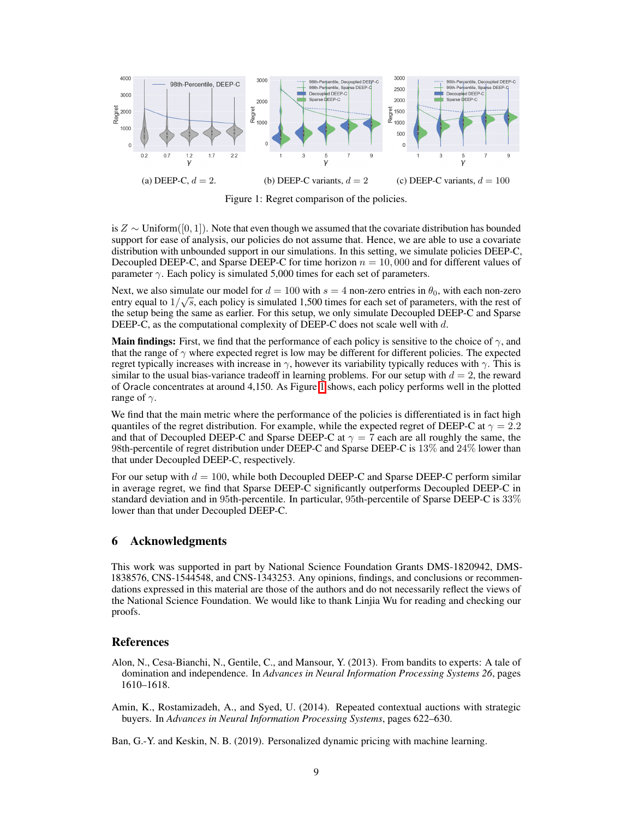<span id="page-8-3"></span>

Figure 1: Regret comparison of the policies.

is  $Z \sim$  Uniform([0, 1]). Note that even though we assumed that the covariate distribution has bounded support for ease of analysis, our policies do not assume that. Hence, we are able to use a covariate distribution with unbounded support in our simulations. In this setting, we simulate policies DEEP-C, Decoupled DEEP-C, and Sparse DEEP-C for time horizon  $n = 10,000$  and for different values of parameter  $\gamma$ . Each policy is simulated 5,000 times for each set of parameters.

Next, we also simulate our model for  $d = 100$  with  $s = 4$  non-zero entries in  $\theta_0$ , with each non-zero entry equal to  $1/\sqrt{s}$ , each policy is simulated 1,500 times for each set of parameters, with the rest of parameters the setup being the same as earlier. For this setup, we only simulate Decoupled DEEP-C and Sparse DEEP-C, as the computational complexity of DEEP-C does not scale well with *d*.

**Main findings:** First, we find that the performance of each policy is sensitive to the choice of  $\gamma$ , and that the range of  $\gamma$  where expected regret is low may be different for different policies. The expected regret typically increases with increase in  $\gamma$ , however its variability typically reduces with  $\gamma$ . This is similar to the usual bias-variance tradeoff in learning problems. For our setup with  $d = 2$ , the reward of Oracle concentrates at around 4,150. As Figure  $\vert\bar{l}\vert$  shows, each policy performs well in the plotted range of  $\gamma$ .

We find that the main metric where the performance of the policies is differentiated is in fact high quantiles of the regret distribution. For example, while the expected regret of DEEP-C at  $\gamma = 2.2$ and that of Decoupled DEEP-C and Sparse DEEP-C at  $\gamma = 7$  each are all roughly the same, the 98th-percentile of regret distribution under DEEP-C and Sparse DEEP-C is 13% and 24% lower than that under Decoupled DEEP-C, respectively.

For our setup with  $d = 100$ , while both Decoupled DEEP-C and Sparse DEEP-C perform similar in average regret, we find that Sparse DEEP-C significantly outperforms Decoupled DEEP-C in standard deviation and in 95th-percentile. In particular, 95th-percentile of Sparse DEEP-C is 33% lower than that under Decoupled DEEP-C.

# 6 Acknowledgments

This work was supported in part by National Science Foundation Grants DMS-1820942, DMS-1838576, CNS-1544548, and CNS-1343253. Any opinions, findings, and conclusions or recommendations expressed in this material are those of the authors and do not necessarily reflect the views of the National Science Foundation. We would like to thank Linjia Wu for reading and checking our proofs.

# **References**

- <span id="page-8-2"></span>Alon, N., Cesa-Bianchi, N., Gentile, C., and Mansour, Y. (2013). From bandits to experts: A tale of domination and independence. In *Advances in Neural Information Processing Systems 26*, pages 1610–1618.
- <span id="page-8-1"></span>Amin, K., Rostamizadeh, A., and Syed, U. (2014). Repeated contextual auctions with strategic buyers. In *Advances in Neural Information Processing Systems*, pages 622–630.

<span id="page-8-0"></span>Ban, G.-Y. and Keskin, N. B. (2019). Personalized dynamic pricing with machine learning.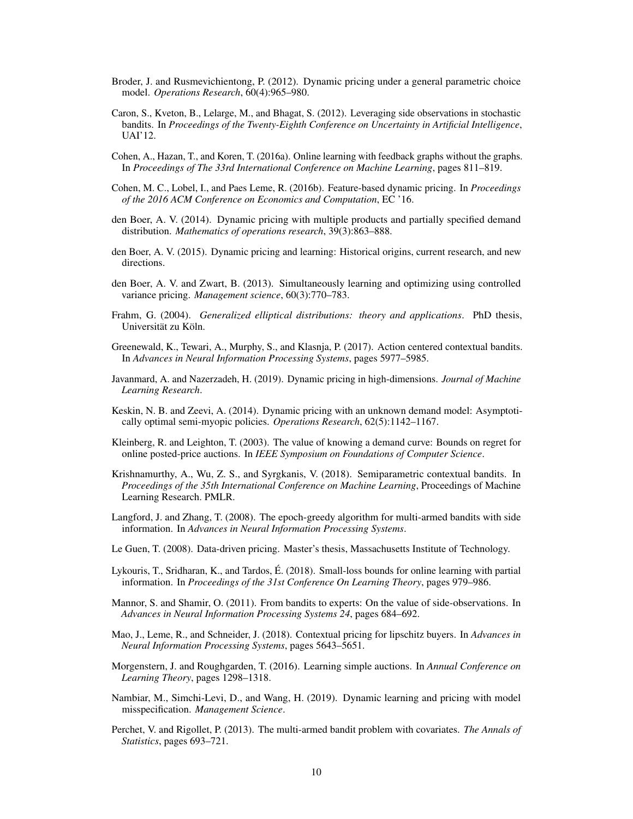- <span id="page-9-2"></span>Broder, J. and Rusmevichientong, P. (2012). Dynamic pricing under a general parametric choice model. *Operations Research*, 60(4):965–980.
- <span id="page-9-17"></span>Caron, S., Kveton, B., Lelarge, M., and Bhagat, S. (2012). Leveraging side observations in stochastic bandits. In *Proceedings of the Twenty-Eighth Conference on Uncertainty in Artificial Intelligence*, UAI'12.
- <span id="page-9-18"></span>Cohen, A., Hazan, T., and Koren, T. (2016a). Online learning with feedback graphs without the graphs. In *Proceedings of The 33rd International Conference on Machine Learning*, pages 811–819.
- <span id="page-9-8"></span>Cohen, M. C., Lobel, I., and Paes Leme, R. (2016b). Feature-based dynamic pricing. In *Proceedings of the 2016 ACM Conference on Economics and Computation*, EC '16.
- <span id="page-9-4"></span>den Boer, A. V. (2014). Dynamic pricing with multiple products and partially specified demand distribution. *Mathematics of operations research*, 39(3):863–888.
- <span id="page-9-0"></span>den Boer, A. V. (2015). Dynamic pricing and learning: Historical origins, current research, and new directions.
- <span id="page-9-3"></span>den Boer, A. V. and Zwart, B. (2013). Simultaneously learning and optimizing using controlled variance pricing. *Management science*, 60(3):770–783.
- Frahm, G. (2004). *Generalized elliptical distributions: theory and applications*. PhD thesis, Universität zu Köln.
- <span id="page-9-13"></span>Greenewald, K., Tewari, A., Murphy, S., and Klasnja, P. (2017). Action centered contextual bandits. In *Advances in Neural Information Processing Systems*, pages 5977–5985.
- <span id="page-9-7"></span>Javanmard, A. and Nazerzadeh, H. (2019). Dynamic pricing in high-dimensions. *Journal of Machine Learning Research*.
- <span id="page-9-5"></span>Keskin, N. B. and Zeevi, A. (2014). Dynamic pricing with an unknown demand model: Asymptotically optimal semi-myopic policies. *Operations Research*, 62(5):1142–1167.
- <span id="page-9-6"></span>Kleinberg, R. and Leighton, T. (2003). The value of knowing a demand curve: Bounds on regret for online posted-price auctions. In *IEEE Symposium on Foundations of Computer Science*.
- <span id="page-9-14"></span>Krishnamurthy, A., Wu, Z. S., and Syrgkanis, V. (2018). Semiparametric contextual bandits. In *Proceedings of the 35th International Conference on Machine Learning*, Proceedings of Machine Learning Research. PMLR.
- <span id="page-9-11"></span>Langford, J. and Zhang, T. (2008). The epoch-greedy algorithm for multi-armed bandits with side information. In *Advances in Neural Information Processing Systems*.
- <span id="page-9-1"></span>Le Guen, T. (2008). Data-driven pricing. Master's thesis, Massachusetts Institute of Technology.
- <span id="page-9-19"></span>Lykouris, T., Sridharan, K., and Tardos, É. (2018). Small-loss bounds for online learning with partial information. In *Proceedings of the 31st Conference On Learning Theory*, pages 979–986.
- <span id="page-9-16"></span>Mannor, S. and Shamir, O. (2011). From bandits to experts: On the value of side-observations. In *Advances in Neural Information Processing Systems 24*, pages 684–692.
- <span id="page-9-9"></span>Mao, J., Leme, R., and Schneider, J. (2018). Contextual pricing for lipschitz buyers. In *Advances in Neural Information Processing Systems*, pages 5643–5651.
- <span id="page-9-15"></span>Morgenstern, J. and Roughgarden, T. (2016). Learning simple auctions. In *Annual Conference on Learning Theory*, pages 1298–1318.
- <span id="page-9-10"></span>Nambiar, M., Simchi-Levi, D., and Wang, H. (2019). Dynamic learning and pricing with model misspecification. *Management Science*.
- <span id="page-9-12"></span>Perchet, V. and Rigollet, P. (2013). The multi-armed bandit problem with covariates. *The Annals of Statistics*, pages 693–721.